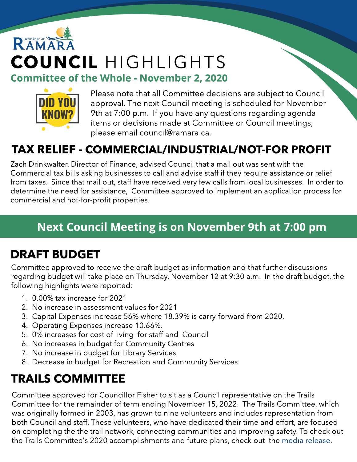# RAMAR COUNCIL HIGHLIGHTS **Committee of the Whole - November 2, 2020**



Please note that all Committee decisions are subject to Council approval. The next Council meeting is scheduled for November 9th at 7:00 p.m. If you have any questions regarding agenda items or decisions made at Committee or Council meetings, please email council@ramara.ca.

### TAX RELIEF - COMMERCIAL/INDUSTRIAL/NOT-FOR PROFIT

Zach Drinkwalter, Director of Finance, advised Council that a mail out was sent with the Commercial tax bills asking businesses to call and advise staff if they require assistance or relief from taxes. Since that mail out, staff have received very few calls from local businesses. In order to determine the need for assistance, Committee approved to implement an application process for commercial and not-for-profit properties.

### Next Council Meeting is on November 9th at 7:00 pm

### DRAFT BUDGET

Committee approved to receive the draft budget as information and that further discussions regarding budget will take place on Thursday, November 12 at 9:30 a.m. In the draft budget, the following highlights were reported:

- 1. 0.00% tax increase for 2021
- 2. No increase in assessment values for 2021
- 3. Capital Expenses increase 56% where 18.39% is carry-forward from 2020.
- 4. Operating Expenses increase 10.66%.
- 5. 0% increases for cost of living for staff and Council
- 6. No increases in budget for Community Centres
- 7. No increase in budget for Library Services
- 8. Decrease in budget for Recreation and Community Services

### TRAILS COMMITTEE

Committee approved for Councillor Fisher to sit as a Council representative on the Trails Committee for the remainder of term ending November 15, 2022. The Trails Committee, which was originally formed in 2003, has grown to nine volunteers and includes representation from both Council and staff. These volunteers, who have dedicated their time and effort, are focused on completing the the trail network, connecting communities and improving safety. To check out the Trails Committee's 2020 accomplishments and future plans, check out the [media](https://www.ramara.ca/en/news/media-release-ramara-expanding-trails.aspx) [release.](https://www.ramara.ca/en/news/media-release-ramara-expanding-trails.aspx)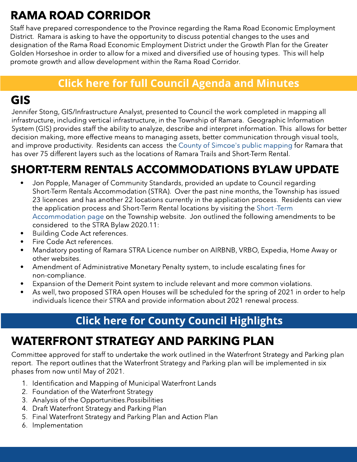## RAMA ROAD CORRIDOR

Staff have prepared correspondence to the Province regarding the Rama Road Economic Employment District. Ramara is asking to have the opportunity to discuss potential changes to the uses and designation of the Rama Road Economic Employment District under the Growth Plan for the Greater Golden Horseshoe in order to allow for a mixed and diversified use of housing types. This will help promote growth and allow development within the Rama Road Corridor.

#### **[Click](https://ramara.civicweb.net/portal/) [here](https://ramara.civicweb.net/portal/) [for](https://ramara.civicweb.net/portal/) [full](https://ramara.civicweb.net/portal/) [Council](https://ramara.civicweb.net/portal/) [Agenda](https://ramara.civicweb.net/portal/) [and](https://ramara.civicweb.net/portal/) [Minut](https://ramara.civicweb.net/portal/)es**

### GIS

Jennifer Stong, GIS/Infrastructure Analyst, presented to Council the work completed in mapping all infrastructure, including vertical infrastructure, in the Township of Ramara. Geographic Information System (GIS) provides staff the ability to analyze, describe and interpret information. This allows for better decision making, more effective means to managing assets, better communication through visual tools, and improve productivity. Residents can access the [County](https://maps.simcoe.ca/PartnerWebApps/Ramara/?mode=advanced) [of](https://maps.simcoe.ca/PartnerWebApps/Ramara/?mode=advanced) [Simcoe's](https://maps.simcoe.ca/PartnerWebApps/Ramara/?mode=advanced) [public](https://maps.simcoe.ca/PartnerWebApps/Ramara/?mode=advanced) [mapping](https://maps.simcoe.ca/PartnerWebApps/Ramara/?mode=advanced) for Ramara that has over 75 different layers such as the locations of Ramara Trails and Short-Term Rental.

### SHORT-TERM RENTALS ACCOMMODATIONS BYLAW UPDATE

- Jon Popple, Manager of Community Standards, provided an update to Council regarding Short-Term Rentals Accommodation (STRA). Over the past nine months, the Township has issued 23 licences and has another 22 locations currently in the application process. Residents can view the application process and Short-Term Rental locations by visiting the [Short](https://www.ramara.ca/en/business-and-development/short-term-rental-accommodations.aspx) [-Term](https://www.ramara.ca/en/business-and-development/short-term-rental-accommodations.aspx) [Accommodation](https://www.ramara.ca/en/business-and-development/short-term-rental-accommodations.aspx) [page](https://www.ramara.ca/en/business-and-development/short-term-rental-accommodations.aspx) on the Township website. Jon outlined the following amendments to be considered to the STRA Bylaw 2020.11:
- Building Code Act references.
- **•** Fire Code Act references.
- Mandatory posting of Ramara STRA Licence number on AIRBNB, VRBO, Expedia, Home Away or other websites.
- Amendment of Administrative Monetary Penalty system, to include escalating fines for non-compliance.
- Expansion of the Demerit Point system to include relevant and more common violations.
- As well, two proposed STRA open Houses will be scheduled for the spring of 2021 in order to help individuals licence their STRA and provide information about 2021 renewal process.

### **[Click](https://ramara.civicweb.net/portal/) [here](https://ramara.civicweb.net/portal/) [for](https://ramara.civicweb.net/portal/) [Count](https://www.simcoe.ca/dpt/ccd/newsletters)y [Council](https://www.simcoe.ca/dpt/ccd/newsletters) [Highlight](https://www.simcoe.ca/dpt/ccd/newsletters)s**

### WATERFRONT STRATEGY AND PARKING PLAN

Committee approved for staff to undertake the work outlined in the Waterfront Strategy and Parking plan report. The report outlines that the Waterfront Strategy and Parking plan will be implemented in six phases from now until May of 2021.

- 1. Identification and Mapping of Municipal Waterfront Lands
- 2. Foundation of the Waterfront Strategy
- 3. Analysis of the Opportunities.Possibilities
- 4. Draft Waterfront Strategy and Parking Plan
- 5. Final Waterfront Strategy and Parking Plan and Action Plan
- 6. Implementation